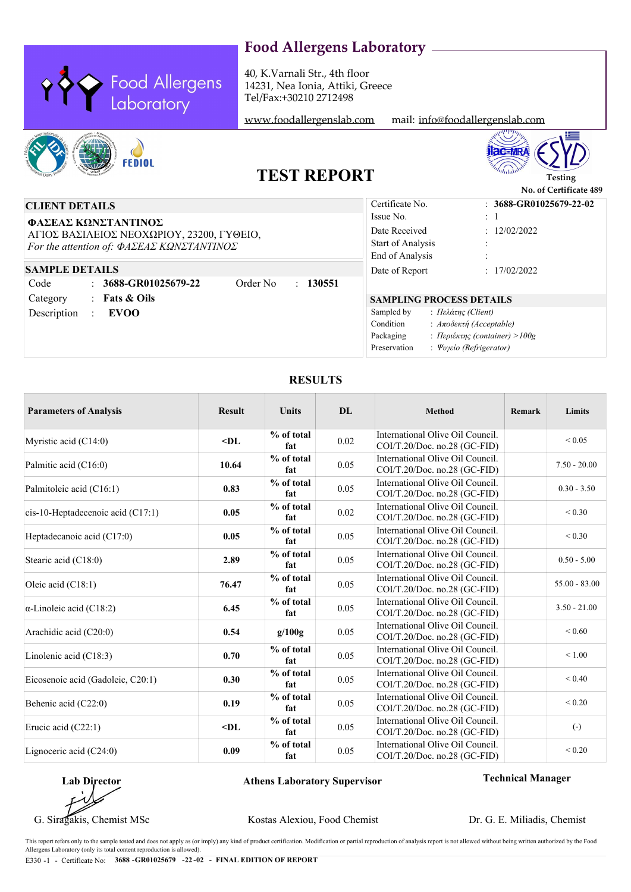40, K.Varnali Str., 4th floor 14231, Nea Ionia, Attiki, Greece Tel/Fax:+30210 2712498

Food Allergens<br>Laboratory

<www.foodallergenslab.com> mail: [info@foodallergenslab.com](mailto:info@foodallergenslab.com)





**No. of Certificate 489**

## **TEST REPORT**

## **CLIENT DETAILS**

**ΦΑΣΕΑΣ ΚΩΝΣΤΑΝΤΙΝΟΣ** ΑΓΙΟΣ ΒΑΣΙΛΕΙΟΣ ΝΕΟΧΩΡΙΟΥ, 23200, ΓΥΘΕΙΟ, *For the attention of: ΦΑΣΕΑΣ ΚΩΝΣΤΑΝΤΙΝΟΣ*

### **SAMPLE DETAILS**

**3688-GR01025679-22** : : **Fats & Oils** Code Category Description :  **EVOO** Order No : **130551**

### **SAMPLING PROCESS DETAILS** :  $12/02/2022$ : : : **3688-GR01025679-22-02** Date Received Certificate No. Start of Analysis : *Πελάτης (Client)* : *Περιέκτης (container) >100g* : *Ψυγείο (Refrigerator)* : *Αποδεκτή (Acceptable)* Issue No. 1 Sampled by Packaging Preservation Condition Date of Report : 17/02/2022 End of Analysis

### **RESULTS**

| <b>Parameters of Analysis</b>             | <b>Result</b> | <b>Units</b>      | DL.  | Method                                                           | Remark | Limits            |
|-------------------------------------------|---------------|-------------------|------|------------------------------------------------------------------|--------|-------------------|
| Myristic acid $(C14:0)$                   | $-DL$         | % of total<br>fat | 0.02 | International Olive Oil Council.<br>COI/T.20/Doc. no.28 (GC-FID) |        | ${}_{0.05}$       |
| Palmitic acid (C16:0)                     | 10.64         | % of total<br>fat | 0.05 | International Olive Oil Council.<br>COI/T.20/Doc. no.28 (GC-FID) |        | $7.50 - 20.00$    |
| Palmitoleic acid (C16:1)                  | 0.83          | % of total<br>fat | 0.05 | International Olive Oil Council.<br>COI/T.20/Doc. no.28 (GC-FID) |        | $0.30 - 3.50$     |
| $\vert$ cis-10-Heptadecenoic acid (C17:1) | 0.05          | % of total<br>fat | 0.02 | International Olive Oil Council.<br>COI/T.20/Doc. no.28 (GC-FID) |        | ${}_{0.30}$       |
| Heptadecanoic acid (C17:0)                | 0.05          | % of total<br>fat | 0.05 | International Olive Oil Council.<br>COI/T.20/Doc. no.28 (GC-FID) |        | ${}_{0.30}$       |
| Stearic acid (C18:0)                      | 2.89          | % of total<br>fat | 0.05 | International Olive Oil Council.<br>COI/T.20/Doc. no.28 (GC-FID) |        | $0.50 - 5.00$     |
| Oleic acid (C18:1)                        | 76.47         | % of total<br>fat | 0.05 | International Olive Oil Council.<br>COI/T.20/Doc. no.28 (GC-FID) |        | $55.00 - 83.00$   |
| $\alpha$ -Linoleic acid (C18:2)           | 6.45          | % of total<br>fat | 0.05 | International Olive Oil Council.<br>COI/T.20/Doc. no.28 (GC-FID) |        | $3.50 - 21.00$    |
| Arachidic acid (C20:0)                    | 0.54          | g/100g            | 0.05 | International Olive Oil Council.<br>COI/T.20/Doc. no.28 (GC-FID) |        | ${}_{0.60}$       |
| Linolenic acid $(C18:3)$                  | 0.70          | % of total<br>fat | 0.05 | International Olive Oil Council.<br>COI/T.20/Doc. no.28 (GC-FID) |        | < 1.00            |
| Eicosenoic acid (Gadoleic, C20:1)         | 0.30          | % of total<br>fat | 0.05 | International Olive Oil Council.<br>COI/T.20/Doc. no.28 (GC-FID) |        | < 0.40            |
| Behenic acid (C22:0)                      | 0.19          | % of total<br>fat | 0.05 | International Olive Oil Council.<br>COI/T.20/Doc. no.28 (GC-FID) |        | ${}< 0.20$        |
| Erucic acid $(C22:1)$                     | $-DL$         | % of total<br>fat | 0.05 | International Olive Oil Council.<br>COI/T.20/Doc. no.28 (GC-FID) |        | $\left( -\right)$ |
| Lignoceric acid $(C24:0)$                 | 0.09          | % of total<br>fat | 0.05 | International Olive Oil Council.<br>COI/T.20/Doc. no.28 (GC-FID) |        | ${}< 0.20$        |

**Lab Director**

### **Athens Laboratory Supervisor Technical Manager**

G. Siragakis, Chemist MSc Kostas Alexiou, Food Chemist

Dr. G. E. Miliadis, Chemist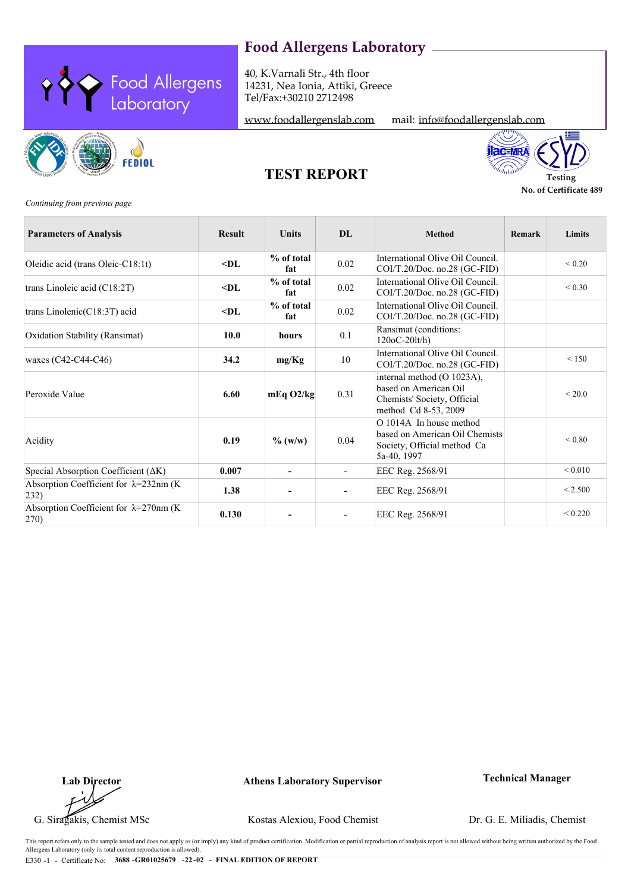40, K.Varnali Str., 4th floor 14231, Nea Ionia, Attiki, Greece Tel/Fax:+30210 2712498







<www.foodallergenslab.com> mail: [info@foodallergenslab.com](mailto:info@foodallergenslab.com)



**No. of Certificate 489**

**TEST REPORT Testing** 

*Continuing from previous page*

| <b>Parameters of Analysis</b>                                      | <b>Result</b>      | <b>Units</b>             | DL.                      | <b>Method</b>                                                                                                        | Remark | Limits        |
|--------------------------------------------------------------------|--------------------|--------------------------|--------------------------|----------------------------------------------------------------------------------------------------------------------|--------|---------------|
| Oleidic acid (trans Oleic-C18:1t)                                  | $\triangleleft$ DL | % of total<br>fat        | 0.02                     | International Olive Oil Council.<br>COI/T.20/Doc. no.28 (GC-FID)                                                     |        | ${}< 0.20$    |
| trans Linoleic acid (C18:2T)                                       | $<$ DL             | % of total<br>fat        | 0.02                     | International Olive Oil Council.<br>COI/T.20/Doc. no.28 (GC-FID)                                                     |        | ${}_{0.30}$   |
| trans Linolenic(C18:3T) acid                                       | $<$ DL             | % of total<br>fat        | 0.02                     | International Olive Oil Council.<br>COI/T.20/Doc. no.28 (GC-FID)                                                     |        |               |
| Oxidation Stability (Ransimat)                                     | 10.0               | hours                    | 0.1                      | Ransimat (conditions:<br>$120oC-20lt/h$                                                                              |        |               |
| waxes $(C42-C44-C46)$                                              | 34.2               | mg/Kg                    | 10                       | International Olive Oil Council.<br>$COI/T.20/Doc.$ no.28 (GC-FID)                                                   |        | < 150         |
| Peroxide Value                                                     | 6.60               | $mEq$ O2/kg              | 0.31                     | internal method (O 1023A),<br>based on American Oil<br>Chemists' Society, Official<br>method Cd 8-53, 2009           |        | ${}_{<}$ 20.0 |
| Acidity                                                            | 0.19               | $\%$ (w/w)               | 0.04                     | $\overline{O}$ 1014A In house method<br>based on American Oil Chemists<br>Society, Official method Ca<br>5a-40, 1997 |        | ${}_{0.80}$   |
| Special Absorption Coefficient ( $\Delta K$ )                      | 0.007              | $\blacksquare$           | $\overline{\phantom{a}}$ | EEC Reg. 2568/91                                                                                                     |        | ${}_{0.010}$  |
| Absorption Coefficient for $\lambda = 232$ nm (K)<br>$ 232\rangle$ | 1.38               | $\overline{\phantom{a}}$ | $\overline{\phantom{m}}$ | EEC Reg. 2568/91                                                                                                     |        | < 2.500       |
| Absorption Coefficient for $\lambda = 270$ nm (K)<br>$ 270\rangle$ | 0.130              |                          |                          | EEC Reg. 2568/91                                                                                                     |        | ${}_{0.220}$  |

**Lab Director**

**Athens Laboratory Supervisor Technical Manager**

G. Siragakis, Chemist MSc Kostas Alexiou, Food Chemist

Dr. G. E. Miliadis, Chemist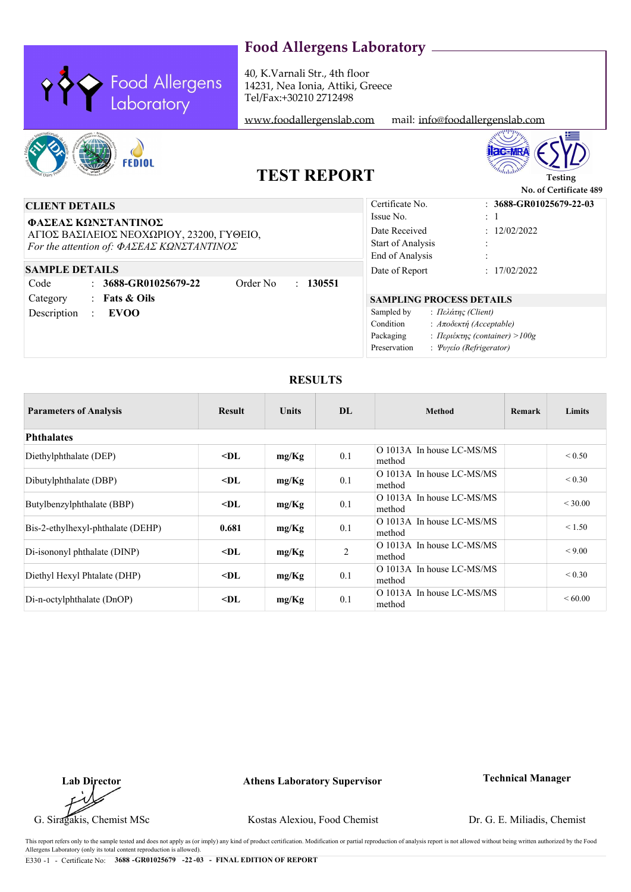

40, K.Varnali Str., 4th floor 14231, Nea Ionia, Attiki, Greece Tel/Fax:+30210 2712498

<www.foodallergenslab.com> mail: [info@foodallergenslab.com](mailto:info@foodallergenslab.com)





# **TEST REPORT**

|                                                                                                                                                                                                                                                                 |                                                                                                               | No. of Certificate 489                                                                     |
|-----------------------------------------------------------------------------------------------------------------------------------------------------------------------------------------------------------------------------------------------------------------|---------------------------------------------------------------------------------------------------------------|--------------------------------------------------------------------------------------------|
| <b>CLIENT DETAILS</b>                                                                                                                                                                                                                                           | Certificate No.                                                                                               | $: 3688$ -GR01025679-22-03                                                                 |
| ΦΑΣΕΑΣ ΚΩΝΣΤΑΝΤΙΝΟΣ<br>ΑΓΙΟΣ ΒΑΣΙΛΕΙΟΣ ΝΕΟΧΩΡΙΟΥ, 23200, ΓΥΘΕΙΟ,<br>For the attention of: $\Phi A \Sigma E A \Sigma K \Omega N \Sigma T A N T INO \Sigma$<br><b>SAMPLE DETAILS</b><br>$\therefore$ 3688-GR01025679-22<br>Code<br>Order No<br>130551<br>$\gamma$ | Issue No.<br>Date Received<br>Start of Analysis<br>End of Analysis<br>Date of Report                          | $\pm$ 1<br>: 12/02/2022<br>: 17/02/2022                                                    |
| : Fats $\&$ Oils<br>Category<br>Description<br><b>EVOO</b>                                                                                                                                                                                                      | <b>SAMPLING PROCESS DETAILS</b><br>Sampled by<br>: Πελάτης (Client)<br>Condition<br>Packaging<br>Preservation | : Атобект $\eta$ (Acceptable)<br>: Περιέκτης (container) > 100g<br>: Ψυγείο (Refrigerator) |

### **RESULTS**

| <b>Parameters of Analysis</b>     | <b>Result</b> | <b>Units</b> | DL             | <b>Method</b>                       | Remark | Limits      |
|-----------------------------------|---------------|--------------|----------------|-------------------------------------|--------|-------------|
| <b>Phthalates</b>                 |               |              |                |                                     |        |             |
| Diethylphthalate (DEP)            | $<$ DL        | mg/Kg        | 0.1            | O 1013A In house LC-MS/MS<br>method |        | ${}_{0.50}$ |
| Dibutylphthalate (DBP)            | $<$ DL        | mg/Kg        | 0.1            | O 1013A In house LC-MS/MS<br>method |        | ${}_{0.30}$ |
| Butylbenzylphthalate (BBP)        | $<$ DL        | mg/Kg        | 0.1            | O 1013A In house LC-MS/MS<br>method |        | < 30.00     |
| Bis-2-ethylhexyl-phthalate (DEHP) | 0.681         | mg/Kg        | 0.1            | O 1013A In house LC-MS/MS<br>method |        | < 1.50      |
| Di-isononyl phthalate (DINP)      | $<$ DL        | mg/Kg        | $\overline{2}$ | O 1013A In house LC-MS/MS<br>method |        | < 9.00      |
| Diethyl Hexyl Phtalate (DHP)      | $<$ DL        | mg/Kg        | 0.1            | O 1013A In house LC-MS/MS<br>method |        | ${}_{0.30}$ |
| Di-n-octylphthalate (DnOP)        | $<$ DL        | mg/Kg        | 0.1            | O 1013A In house LC-MS/MS<br>method |        | ${}< 60.00$ |

**Lab Director**

**Athens Laboratory Supervisor Technical Manager**

G. Siragakis, Chemist MSc Kostas Alexiou, Food Chemist

Dr. G. E. Miliadis, Chemist